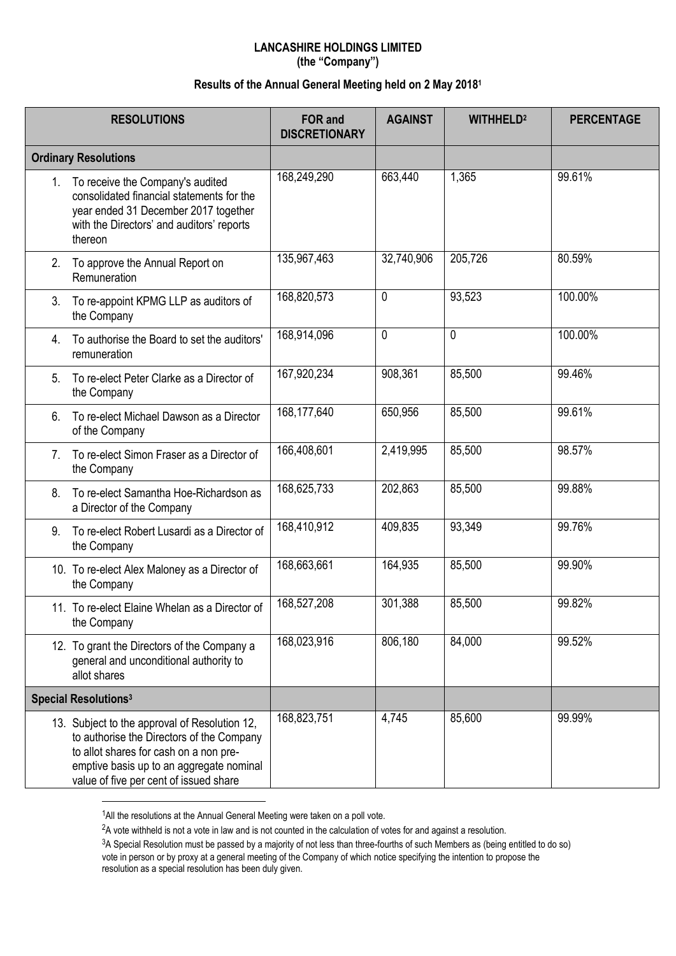## **LANCASHIRE HOLDINGS LIMITED (the "Company")**

## **Results of the Annual General Meeting held on 2 May 2018 1**

| <b>RESOLUTIONS</b>               |                                                                                                                                                                                                                            | FOR and<br><b>DISCRETIONARY</b> | <b>AGAINST</b> | <b>WITHHELD<sup>2</sup></b> | <b>PERCENTAGE</b> |
|----------------------------------|----------------------------------------------------------------------------------------------------------------------------------------------------------------------------------------------------------------------------|---------------------------------|----------------|-----------------------------|-------------------|
| <b>Ordinary Resolutions</b>      |                                                                                                                                                                                                                            |                                 |                |                             |                   |
|                                  | 1. To receive the Company's audited<br>consolidated financial statements for the<br>year ended 31 December 2017 together<br>with the Directors' and auditors' reports<br>thereon                                           | 168,249,290                     | 663,440        | 1,365                       | 99.61%            |
| 2.                               | To approve the Annual Report on<br>Remuneration                                                                                                                                                                            | 135,967,463                     | 32,740,906     | 205,726                     | 80.59%            |
| 3.                               | To re-appoint KPMG LLP as auditors of<br>the Company                                                                                                                                                                       | 168,820,573                     | 0              | 93,523                      | 100.00%           |
| 4.                               | To authorise the Board to set the auditors'<br>remuneration                                                                                                                                                                | 168,914,096                     | 0              | 0                           | 100.00%           |
| 5.                               | To re-elect Peter Clarke as a Director of<br>the Company                                                                                                                                                                   | 167,920,234                     | 908,361        | 85,500                      | 99.46%            |
| 6.                               | To re-elect Michael Dawson as a Director<br>of the Company                                                                                                                                                                 | 168,177,640                     | 650,956        | 85,500                      | 99.61%            |
| $7_{\scriptscriptstyle{\ddots}}$ | To re-elect Simon Fraser as a Director of<br>the Company                                                                                                                                                                   | 166,408,601                     | 2,419,995      | 85,500                      | 98.57%            |
| 8.                               | To re-elect Samantha Hoe-Richardson as<br>a Director of the Company                                                                                                                                                        | 168,625,733                     | 202,863        | 85,500                      | 99.88%            |
| 9.                               | To re-elect Robert Lusardi as a Director of<br>the Company                                                                                                                                                                 | 168,410,912                     | 409,835        | 93,349                      | 99.76%            |
|                                  | 10. To re-elect Alex Maloney as a Director of<br>the Company                                                                                                                                                               | 168,663,661                     | 164,935        | 85,500                      | 99.90%            |
|                                  | 11. To re-elect Elaine Whelan as a Director of<br>the Company                                                                                                                                                              | 168,527,208                     | 301,388        | 85,500                      | 99.82%            |
|                                  | 12. To grant the Directors of the Company a<br>general and unconditional authority to<br>allot shares                                                                                                                      | 168,023,916                     | 806,180        | 84,000                      | 99.52%            |
| Special Resolutions <sup>3</sup> |                                                                                                                                                                                                                            |                                 |                |                             |                   |
|                                  | 13. Subject to the approval of Resolution 12,<br>to authorise the Directors of the Company<br>to allot shares for cash on a non pre-<br>emptive basis up to an aggregate nominal<br>value of five per cent of issued share | 168,823,751                     | 4,745          | 85,600                      | 99.99%            |

 $1$ All the resolutions at the Annual General Meeting were taken on a poll vote.

 $\overline{a}$ 

<sup>&</sup>lt;sup>2</sup>A vote withheld is not a vote in law and is not counted in the calculation of votes for and against a resolution.

<sup>&</sup>lt;sup>3</sup>A Special Resolution must be passed by a majority of not less than three-fourths of such Members as (being entitled to do so) vote in person or by proxy at a general meeting of the Company of which notice specifying the intention to propose the resolution as a special resolution has been duly given.